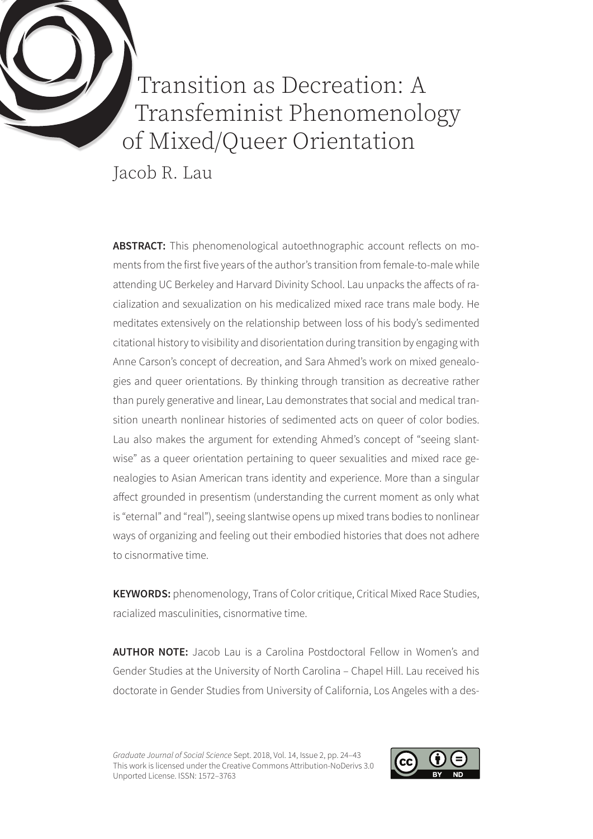

Transition as Decreation: A Transfeminist Phenomenology of Mixed/Queer Orientation

Jacob R. Lau

**ABSTRACT:** This phenomenological autoethnographic account reflects on moments from the first five years of the author's transition from female-to-male while attending UC Berkeley and Harvard Divinity School. Lau unpacks the affects of racialization and sexualization on his medicalized mixed race trans male body. He meditates extensively on the relationship between loss of his body's sedimented citational history to visibility and disorientation during transition by engaging with Anne Carson's concept of decreation, and Sara Ahmed's work on mixed genealogies and queer orientations. By thinking through transition as decreative rather than purely generative and linear, Lau demonstrates that social and medical transition unearth nonlinear histories of sedimented acts on queer of color bodies. Lau also makes the argument for extending Ahmed's concept of "seeing slantwise" as a queer orientation pertaining to queer sexualities and mixed race genealogies to Asian American trans identity and experience. More than a singular affect grounded in presentism (understanding the current moment as only what is "eternal" and "real"), seeing slantwise opens up mixed trans bodies to nonlinear ways of organizing and feeling out their embodied histories that does not adhere to cisnormative time.

**KEYWORDS:** phenomenology, Trans of Color critique, Critical Mixed Race Studies, racialized masculinities, cisnormative time.

**AUTHOR NOTE:** Jacob Lau is a Carolina Postdoctoral Fellow in Women's and Gender Studies at the University of North Carolina – Chapel Hill. Lau received his doctorate in Gender Studies from University of California, Los Angeles with a des-

*Graduate Journal of Social Science* Sept. 2018, Vol. 14, Issue 2, pp. 24–43 This work is licensed under the Creative Commons Attribution-NoDerivs 3.0 Unported License. ISSN: 1572–3763

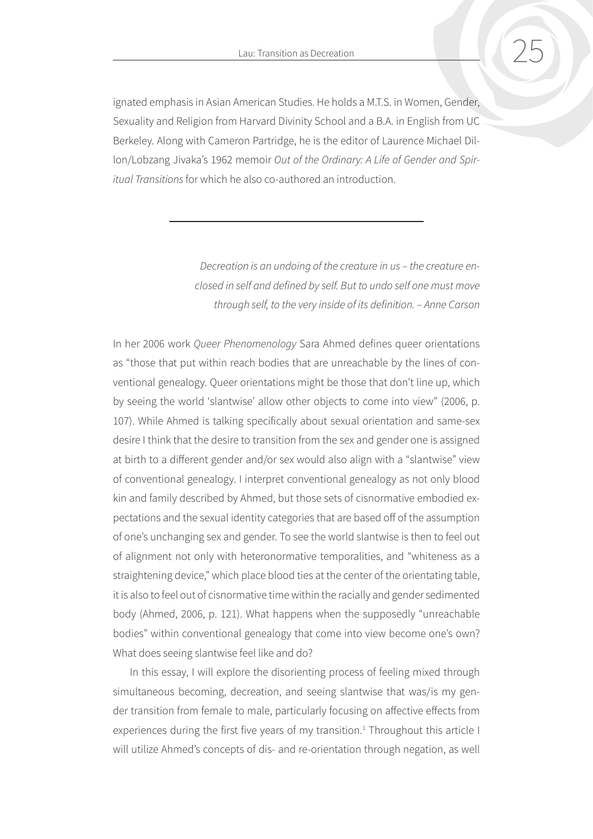<span id="page-1-0"></span>ignated emphasis in Asian American Studies. He holds a M.T.S. in Women, Gender, Sexuality and Religion from Harvard Divinity School and a B.A. in English from UC Berkeley. Along with Cameron Partridge, he is the editor of Laurence Michael Dillon/Lobzang Jivaka's 1962 memoir *Out of the Ordinary: A Life of Gender and Spiritual Transitions* for which he also co-authored an introduction.

> *Decreation is an undoing of the creature in us – the creature enclosed in self and defined by self. But to undo self one must move through self, to the very inside of its definition. – Anne Carson*

In her 2006 work *Queer Phenomenology* Sara Ahmed defines queer orientations as "those that put within reach bodies that are unreachable by the lines of conventional genealogy. Queer orientations might be those that don't line up, which by seeing the world 'slantwise' allow other objects to come into view" (2006, p. 107). While Ahmed is talking specifically about sexual orientation and same-sex desire I think that the desire to transition from the sex and gender one is assigned at birth to a different gender and/or sex would also align with a "slantwise" view of conventional genealogy. I interpret conventional genealogy as not only blood kin and family described by Ahmed, but those sets of cisnormative embodied expectations and the sexual identity categories that are based off of the assumption of one's unchanging sex and gender. To see the world slantwise is then to feel out of alignment not only with heteronormative temporalities, and "whiteness as a straightening device," which place blood ties at the center of the orientating table, it is also to feel out of cisnormative time within the racially and gender sedimented body (Ahmed, 2006, p. 121). What happens when the supposedly "unreachable bodies" within conventional genealogy that come into view become one's own? What does seeing slantwise feel like and do?

In this essay, I will explore the disorienting process of feeling mixed through simultaneous becoming, decreation, and seeing slantwise that was/is my gender transition from female to male, particularly focusing on affective effects from experiences during the first five years of my transition.<sup>[1](#page-17-0)</sup> Throughout this article I will utilize Ahmed's concepts of dis- and re-orientation through negation, as well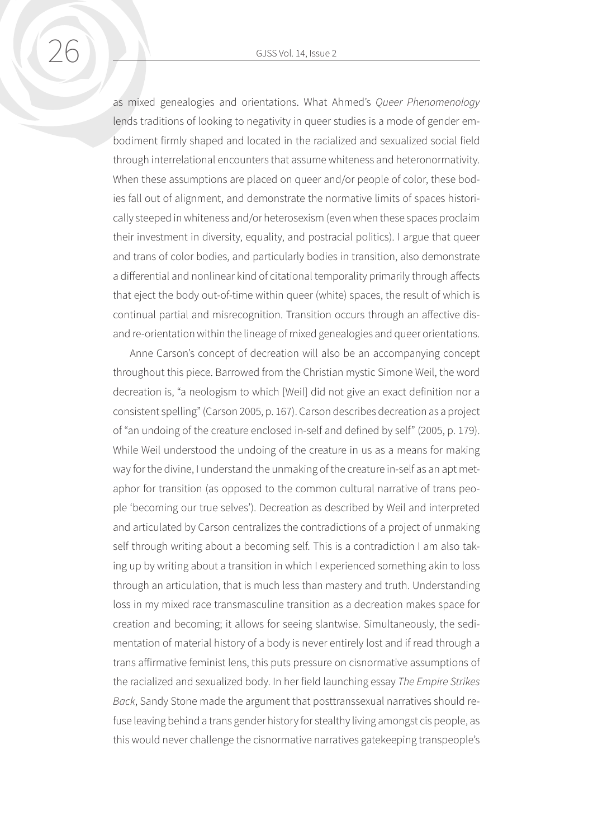as mixed genealogies and orientations. What Ahmed's *Queer Phenomenology*  lends traditions of looking to negativity in queer studies is a mode of gender embodiment firmly shaped and located in the racialized and sexualized social field through interrelational encounters that assume whiteness and heteronormativity. When these assumptions are placed on queer and/or people of color, these bodies fall out of alignment, and demonstrate the normative limits of spaces historically steeped in whiteness and/or heterosexism (even when these spaces proclaim their investment in diversity, equality, and postracial politics). I argue that queer and trans of color bodies, and particularly bodies in transition, also demonstrate a differential and nonlinear kind of citational temporality primarily through affects that eject the body out-of-time within queer (white) spaces, the result of which is continual partial and misrecognition. Transition occurs through an affective disand re-orientation within the lineage of mixed genealogies and queer orientations.

Anne Carson's concept of decreation will also be an accompanying concept throughout this piece. Barrowed from the Christian mystic Simone Weil, the word decreation is, "a neologism to which [Weil] did not give an exact definition nor a consistent spelling" (Carson 2005, p. 167). Carson describes decreation as a project of "an undoing of the creature enclosed in-self and defined by self" (2005, p. 179). While Weil understood the undoing of the creature in us as a means for making way for the divine, I understand the unmaking of the creature in-self as an apt metaphor for transition (as opposed to the common cultural narrative of trans people 'becoming our true selves'). Decreation as described by Weil and interpreted and articulated by Carson centralizes the contradictions of a project of unmaking self through writing about a becoming self. This is a contradiction I am also taking up by writing about a transition in which I experienced something akin to loss through an articulation, that is much less than mastery and truth. Understanding loss in my mixed race transmasculine transition as a decreation makes space for creation and becoming; it allows for seeing slantwise. Simultaneously, the sedimentation of material history of a body is never entirely lost and if read through a trans affirmative feminist lens, this puts pressure on cisnormative assumptions of the racialized and sexualized body. In her field launching essay *The Empire Strikes Back*, Sandy Stone made the argument that posttranssexual narratives should refuse leaving behind a trans gender history for stealthy living amongst cis people, as this would never challenge the cisnormative narratives gatekeeping transpeople's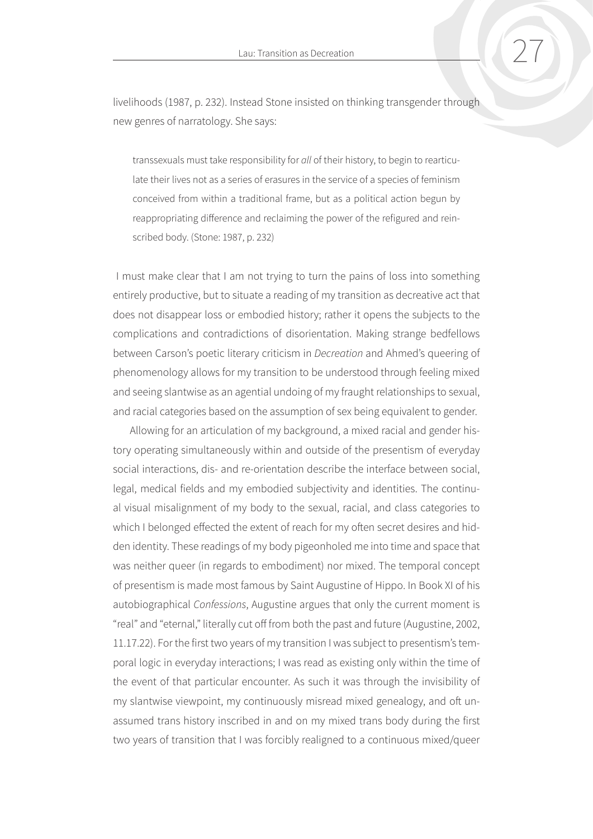livelihoods (1987, p. 232). Instead Stone insisted on thinking transgender through new genres of narratology. She says:

transsexuals must take responsibility for *all* of their history, to begin to rearticulate their lives not as a series of erasures in the service of a species of feminism conceived from within a traditional frame, but as a political action begun by reappropriating difference and reclaiming the power of the refigured and reinscribed body. (Stone: 1987, p. 232)

 I must make clear that I am not trying to turn the pains of loss into something entirely productive, but to situate a reading of my transition as decreative act that does not disappear loss or embodied history; rather it opens the subjects to the complications and contradictions of disorientation. Making strange bedfellows between Carson's poetic literary criticism in *Decreation* and Ahmed's queering of phenomenology allows for my transition to be understood through feeling mixed and seeing slantwise as an agential undoing of my fraught relationships to sexual, and racial categories based on the assumption of sex being equivalent to gender.

Allowing for an articulation of my background, a mixed racial and gender history operating simultaneously within and outside of the presentism of everyday social interactions, dis- and re-orientation describe the interface between social, legal, medical fields and my embodied subjectivity and identities. The continual visual misalignment of my body to the sexual, racial, and class categories to which I belonged effected the extent of reach for my often secret desires and hidden identity. These readings of my body pigeonholed me into time and space that was neither queer (in regards to embodiment) nor mixed. The temporal concept of presentism is made most famous by Saint Augustine of Hippo. In Book XI of his autobiographical *Confessions*, Augustine argues that only the current moment is "real" and "eternal," literally cut off from both the past and future (Augustine, 2002, 11.17.22). For the first two years of my transition I was subject to presentism's temporal logic in everyday interactions; I was read as existing only within the time of the event of that particular encounter. As such it was through the invisibility of my slantwise viewpoint, my continuously misread mixed genealogy, and oft unassumed trans history inscribed in and on my mixed trans body during the first two years of transition that I was forcibly realigned to a continuous mixed/queer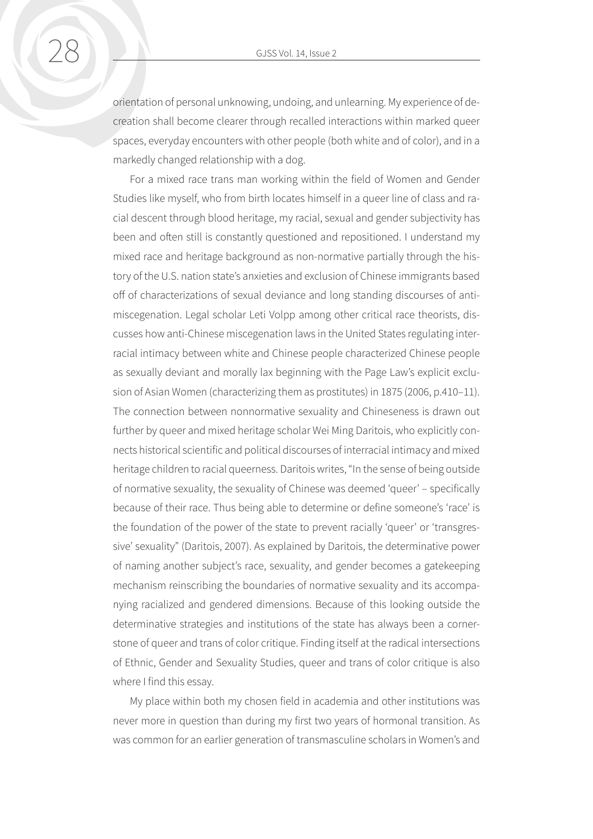orientation of personal unknowing, undoing, and unlearning. My experience of decreation shall become clearer through recalled interactions within marked queer spaces, everyday encounters with other people (both white and of color), and in a markedly changed relationship with a dog.

For a mixed race trans man working within the field of Women and Gender Studies like myself, who from birth locates himself in a queer line of class and racial descent through blood heritage, my racial, sexual and gender subjectivity has been and often still is constantly questioned and repositioned. I understand my mixed race and heritage background as non-normative partially through the history of the U.S. nation state's anxieties and exclusion of Chinese immigrants based off of characterizations of sexual deviance and long standing discourses of antimiscegenation. Legal scholar Leti Volpp among other critical race theorists, discusses how anti-Chinese miscegenation laws in the United States regulating interracial intimacy between white and Chinese people characterized Chinese people as sexually deviant and morally lax beginning with the Page Law's explicit exclusion of Asian Women (characterizing them as prostitutes) in 1875 (2006, p.410–11). The connection between nonnormative sexuality and Chineseness is drawn out further by queer and mixed heritage scholar Wei Ming Daritois, who explicitly connects historical scientific and political discourses of interracial intimacy and mixed heritage children to racial queerness. Daritois writes, "In the sense of being outside of normative sexuality, the sexuality of Chinese was deemed 'queer' – specifically because of their race. Thus being able to determine or define someone's 'race' is the foundation of the power of the state to prevent racially 'queer' or 'transgressive' sexuality" (Daritois, 2007). As explained by Daritois, the determinative power of naming another subject's race, sexuality, and gender becomes a gatekeeping mechanism reinscribing the boundaries of normative sexuality and its accompanying racialized and gendered dimensions. Because of this looking outside the determinative strategies and institutions of the state has always been a cornerstone of queer and trans of color critique. Finding itself at the radical intersections of Ethnic, Gender and Sexuality Studies, queer and trans of color critique is also where I find this essay.

My place within both my chosen field in academia and other institutions was never more in question than during my first two years of hormonal transition. As was common for an earlier generation of transmasculine scholars in Women's and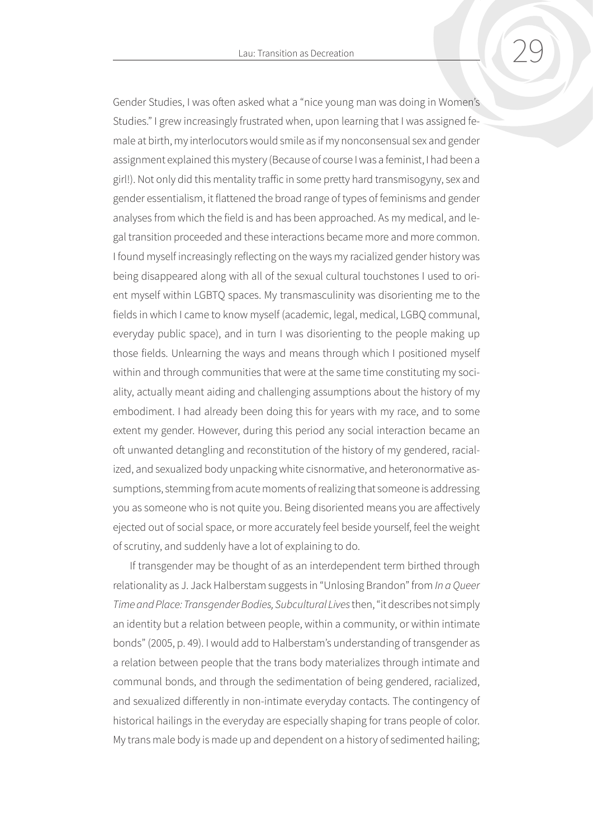Gender Studies, I was often asked what a "nice young man was doing in Women's Studies." I grew increasingly frustrated when, upon learning that I was assigned female at birth, my interlocutors would smile as if my nonconsensual sex and gender assignment explained this mystery (Because of course I was a feminist, I had been a girl!). Not only did this mentality traffic in some pretty hard transmisogyny, sex and gender essentialism, it flattened the broad range of types of feminisms and gender analyses from which the field is and has been approached. As my medical, and legal transition proceeded and these interactions became more and more common. I found myself increasingly reflecting on the ways my racialized gender history was being disappeared along with all of the sexual cultural touchstones I used to orient myself within LGBTQ spaces. My transmasculinity was disorienting me to the fields in which I came to know myself (academic, legal, medical, LGBQ communal, everyday public space), and in turn I was disorienting to the people making up those fields. Unlearning the ways and means through which I positioned myself within and through communities that were at the same time constituting my sociality, actually meant aiding and challenging assumptions about the history of my embodiment. I had already been doing this for years with my race, and to some extent my gender. However, during this period any social interaction became an oft unwanted detangling and reconstitution of the history of my gendered, racialized, and sexualized body unpacking white cisnormative, and heteronormative assumptions, stemming from acute moments of realizing that someone is addressing you as someone who is not quite you. Being disoriented means you are affectively ejected out of social space, or more accurately feel beside yourself, feel the weight of scrutiny, and suddenly have a lot of explaining to do.

If transgender may be thought of as an interdependent term birthed through relationality as J. Jack Halberstam suggests in "Unlosing Brandon" from *In a Queer Time and Place: Transgender Bodies, Subcultural Lives* then, "it describes not simply an identity but a relation between people, within a community, or within intimate bonds" (2005, p. 49). I would add to Halberstam's understanding of transgender as a relation between people that the trans body materializes through intimate and communal bonds, and through the sedimentation of being gendered, racialized, and sexualized differently in non-intimate everyday contacts. The contingency of historical hailings in the everyday are especially shaping for trans people of color. My trans male body is made up and dependent on a history of sedimented hailing;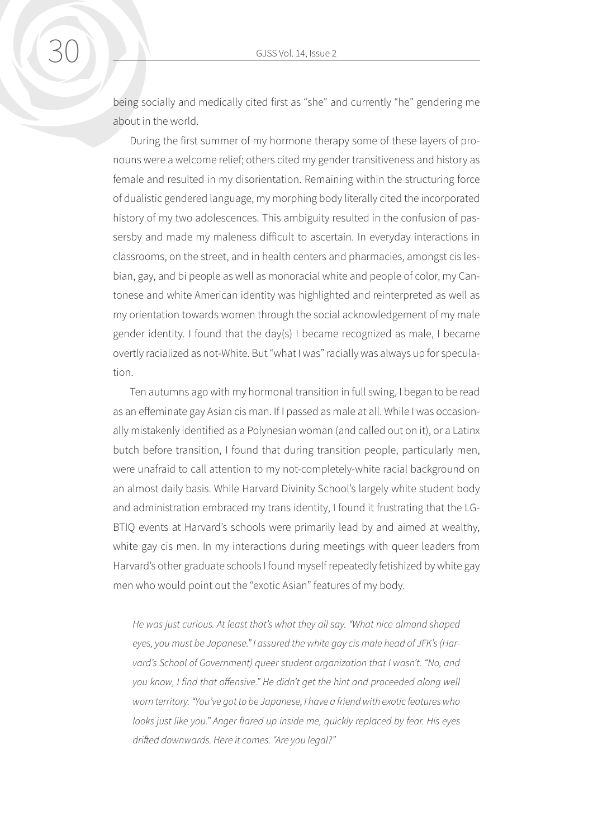being socially and medically cited first as "she" and currently "he" gendering me about in the world.

During the first summer of my hormone therapy some of these layers of pronouns were a welcome relief; others cited my gender transitiveness and history as female and resulted in my disorientation. Remaining within the structuring force of dualistic gendered language, my morphing body literally cited the incorporated history of my two adolescences. This ambiguity resulted in the confusion of passersby and made my maleness difficult to ascertain. In everyday interactions in classrooms, on the street, and in health centers and pharmacies, amongst cis lesbian, gay, and bi people as well as monoracial white and people of color, my Cantonese and white American identity was highlighted and reinterpreted as well as my orientation towards women through the social acknowledgement of my male gender identity. I found that the day(s) I became recognized as male, I became overtly racialized as not-White. But "what I was" racially was always up for speculation.

Ten autumns ago with my hormonal transition in full swing, I began to be read as an effeminate gay Asian cis man. If I passed as male at all. While I was occasionally mistakenly identified as a Polynesian woman (and called out on it), or a Latinx butch before transition, I found that during transition people, particularly men, were unafraid to call attention to my not-completely-white racial background on an almost daily basis. While Harvard Divinity School's largely white student body and administration embraced my trans identity, I found it frustrating that the LG-BTIQ events at Harvard's schools were primarily lead by and aimed at wealthy, white gay cis men. In my interactions during meetings with queer leaders from Harvard's other graduate schools I found myself repeatedly fetishized by white gay men who would point out the "exotic Asian" features of my body.

*He was just curious. At least that's what they all say. "What nice almond shaped eyes, you must be Japanese." I assured the white gay cis male head of JFK's (Harvard's School of Government) queer student organization that I wasn't. "No, and you know, I find that offensive." He didn't get the hint and proceeded along well worn territory. "You've got to be Japanese, I have a friend with exotic features who looks just like you." Anger flared up inside me, quickly replaced by fear. His eyes drifted downwards. Here it comes. "Are you legal?"*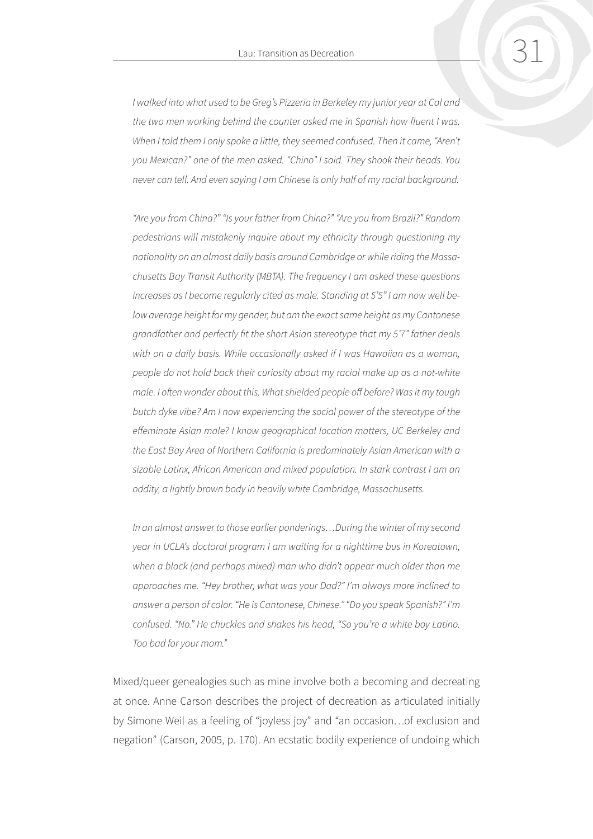*I walked into what used to be Greg's Pizzeria in Berkeley my junior year at Cal and the two men working behind the counter asked me in Spanish how fluent I was.*  When I told them I only spoke a little, they seemed confused. Then it came, "Aren't *you Mexican?" one of the men asked. "Chino" I said. They shook their heads. You never can tell. And even saying I am Chinese is only half of my racial background.*

*"Are you from China?" "Is your father from China?" "Are you from Brazil?" Random pedestrians will mistakenly inquire about my ethnicity through questioning my nationality on an almost daily basis around Cambridge or while riding the Massachusetts Bay Transit Authority (MBTA). The frequency I am asked these questions increases as I become regularly cited as male. Standing at 5'5" I am now well below average height for my gender, but am the exact same height as my Cantonese grandfather and perfectly fit the short Asian stereotype that my 5'7" father deals with on a daily basis. While occasionally asked if I was Hawaiian as a woman, people do not hold back their curiosity about my racial make up as a not-white male. I often wonder about this. What shielded people off before? Was it my tough butch dyke vibe? Am I now experiencing the social power of the stereotype of the effeminate Asian male? I know geographical location matters, UC Berkeley and the East Bay Area of Northern California is predominately Asian American with a sizable Latinx, African American and mixed population. In stark contrast I am an oddity, a lightly brown body in heavily white Cambridge, Massachusetts.*

*In an almost answer to those earlier ponderings…During the winter of my second year in UCLA's doctoral program I am waiting for a nighttime bus in Koreatown, when a black (and perhaps mixed) man who didn't appear much older than me approaches me. "Hey brother, what was your Dad?" I'm always more inclined to answer a person of color. "He is Cantonese, Chinese." "Do you speak Spanish?" I'm confused. "No." He chuckles and shakes his head, "So you're a white boy Latino. Too bad for your mom."*

Mixed/queer genealogies such as mine involve both a becoming and decreating at once. Anne Carson describes the project of decreation as articulated initially by Simone Weil as a feeling of "joyless joy" and "an occasion…of exclusion and negation" (Carson, 2005, p. 170). An ecstatic bodily experience of undoing which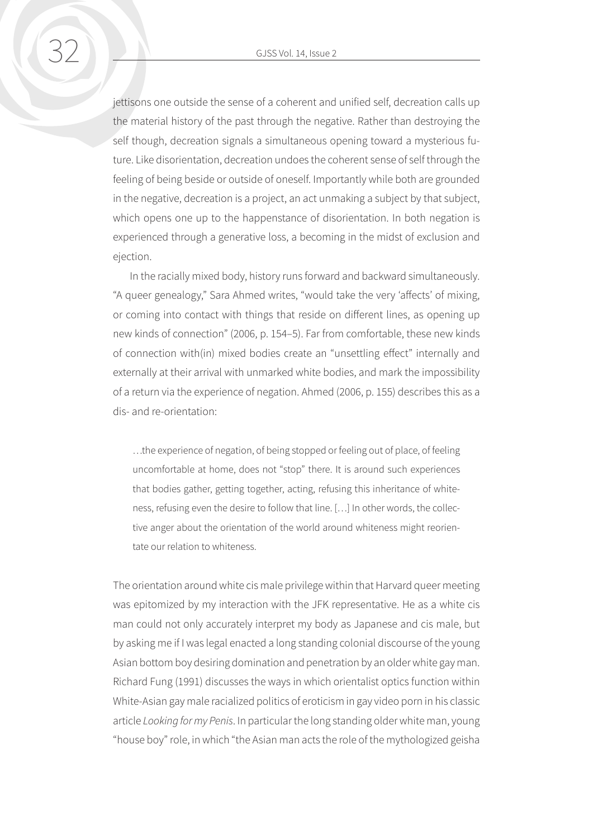jettisons one outside the sense of a coherent and unified self, decreation calls up the material history of the past through the negative. Rather than destroying the self though, decreation signals a simultaneous opening toward a mysterious future. Like disorientation, decreation undoes the coherent sense of self through the feeling of being beside or outside of oneself. Importantly while both are grounded in the negative, decreation is a project, an act unmaking a subject by that subject, which opens one up to the happenstance of disorientation. In both negation is experienced through a generative loss, a becoming in the midst of exclusion and ejection.

In the racially mixed body, history runs forward and backward simultaneously. "A queer genealogy," Sara Ahmed writes, "would take the very 'affects' of mixing, or coming into contact with things that reside on different lines, as opening up new kinds of connection" (2006, p. 154–5). Far from comfortable, these new kinds of connection with(in) mixed bodies create an "unsettling effect" internally and externally at their arrival with unmarked white bodies, and mark the impossibility of a return via the experience of negation. Ahmed (2006, p. 155) describes this as a dis- and re-orientation:

…the experience of negation, of being stopped or feeling out of place, of feeling uncomfortable at home, does not "stop" there. It is around such experiences that bodies gather, getting together, acting, refusing this inheritance of whiteness, refusing even the desire to follow that line. […] In other words, the collective anger about the orientation of the world around whiteness might reorientate our relation to whiteness.

The orientation around white cis male privilege within that Harvard queer meeting was epitomized by my interaction with the JFK representative. He as a white cis man could not only accurately interpret my body as Japanese and cis male, but by asking me if I was legal enacted a long standing colonial discourse of the young Asian bottom boy desiring domination and penetration by an older white gay man. Richard Fung (1991) discusses the ways in which orientalist optics function within White-Asian gay male racialized politics of eroticism in gay video porn in his classic article *Looking for my Penis*. In particular the long standing older white man, young "house boy" role, in which "the Asian man acts the role of the mythologized geisha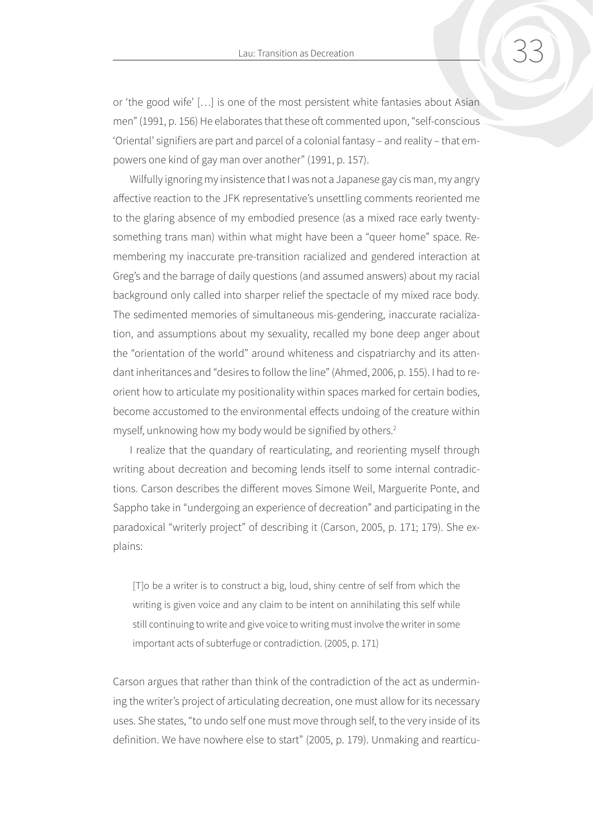<span id="page-9-0"></span>or 'the good wife' […] is one of the most persistent white fantasies about Asian men" (1991, p. 156) He elaborates that these oft commented upon, "self-conscious 'Oriental' signifiers are part and parcel of a colonial fantasy – and reality – that empowers one kind of gay man over another" (1991, p. 157).

Wilfully ignoring my insistence that I was not a Japanese gay cis man, my angry affective reaction to the JFK representative's unsettling comments reoriented me to the glaring absence of my embodied presence (as a mixed race early twentysomething trans man) within what might have been a "queer home" space. Remembering my inaccurate pre-transition racialized and gendered interaction at Greg's and the barrage of daily questions (and assumed answers) about my racial background only called into sharper relief the spectacle of my mixed race body. The sedimented memories of simultaneous mis-gendering, inaccurate racialization, and assumptions about my sexuality, recalled my bone deep anger about the "orientation of the world" around whiteness and cispatriarchy and its attendant inheritances and "desires to follow the line" (Ahmed, 2006, p. 155). I had to reorient how to articulate my positionality within spaces marked for certain bodies, become accustomed to the environmental effects undoing of the creature within myself, unknowing how my body would be signified by others.<sup>[2](#page-17-0)</sup>

I realize that the quandary of rearticulating, and reorienting myself through writing about decreation and becoming lends itself to some internal contradictions. Carson describes the different moves Simone Weil, Marguerite Ponte, and Sappho take in "undergoing an experience of decreation" and participating in the paradoxical "writerly project" of describing it (Carson, 2005, p. 171; 179). She explains:

[T]o be a writer is to construct a big, loud, shiny centre of self from which the writing is given voice and any claim to be intent on annihilating this self while still continuing to write and give voice to writing must involve the writer in some important acts of subterfuge or contradiction. (2005, p. 171)

Carson argues that rather than think of the contradiction of the act as undermining the writer's project of articulating decreation, one must allow for its necessary uses. She states, "to undo self one must move through self, to the very inside of its definition. We have nowhere else to start" (2005, p. 179). Unmaking and rearticu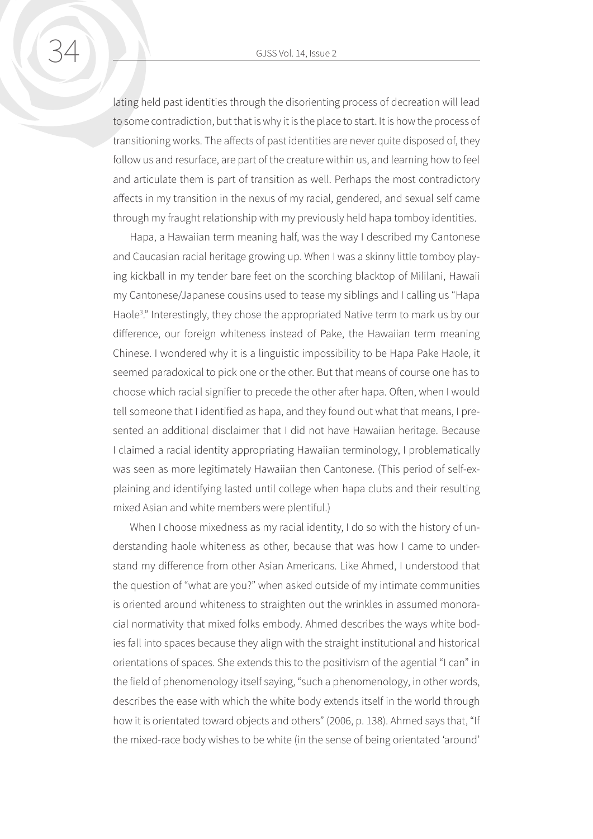<span id="page-10-0"></span>lating held past identities through the disorienting process of decreation will lead to some contradiction, but that is why it is the place to start. It is how the process of transitioning works. The affects of past identities are never quite disposed of, they follow us and resurface, are part of the creature within us, and learning how to feel and articulate them is part of transition as well. Perhaps the most contradictory affects in my transition in the nexus of my racial, gendered, and sexual self came through my fraught relationship with my previously held hapa tomboy identities.

Hapa, a Hawaiian term meaning half, was the way I described my Cantonese and Caucasian racial heritage growing up. When I was a skinny little tomboy playing kickball in my tender bare feet on the scorching blacktop of Mililani, Hawaii my Cantonese/Japanese cousins used to tease my siblings and I calling us "Hapa Haole<sup>3</sup>." Interestingly, they chose the appropriated Native term to mark us by our difference, our foreign whiteness instead of Pake, the Hawaiian term meaning Chinese. I wondered why it is a linguistic impossibility to be Hapa Pake Haole, it seemed paradoxical to pick one or the other. But that means of course one has to choose which racial signifier to precede the other after hapa. Often, when I would tell someone that I identified as hapa, and they found out what that means, I presented an additional disclaimer that I did not have Hawaiian heritage. Because I claimed a racial identity appropriating Hawaiian terminology, I problematically was seen as more legitimately Hawaiian then Cantonese. (This period of self-explaining and identifying lasted until college when hapa clubs and their resulting mixed Asian and white members were plentiful.)

When I choose mixedness as my racial identity, I do so with the history of understanding haole whiteness as other, because that was how I came to understand my difference from other Asian Americans. Like Ahmed, I understood that the question of "what are you?" when asked outside of my intimate communities is oriented around whiteness to straighten out the wrinkles in assumed monoracial normativity that mixed folks embody. Ahmed describes the ways white bodies fall into spaces because they align with the straight institutional and historical orientations of spaces. She extends this to the positivism of the agential "I can" in the field of phenomenology itself saying, "such a phenomenology, in other words, describes the ease with which the white body extends itself in the world through how it is orientated toward objects and others" (2006, p. 138). Ahmed says that, "If the mixed-race body wishes to be white (in the sense of being orientated 'around'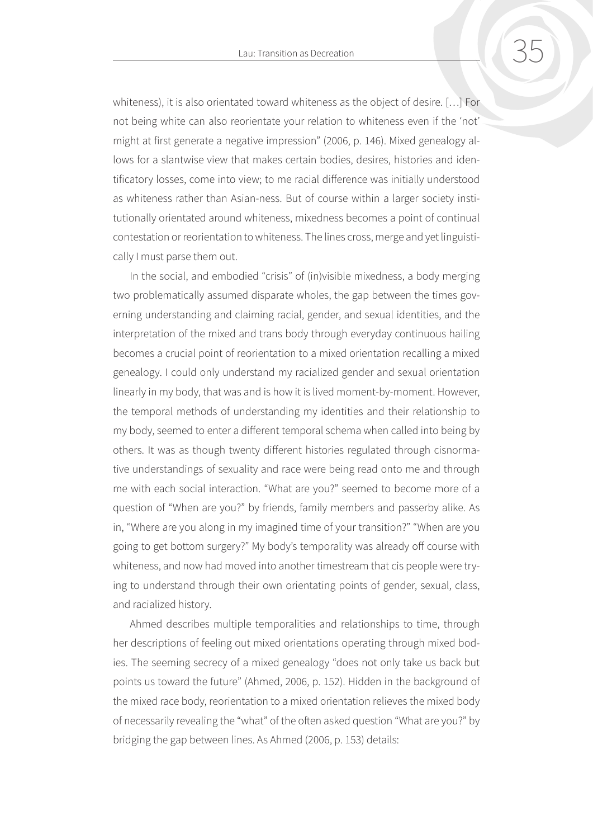whiteness), it is also orientated toward whiteness as the object of desire. […] For not being white can also reorientate your relation to whiteness even if the 'not' might at first generate a negative impression" (2006, p. 146). Mixed genealogy allows for a slantwise view that makes certain bodies, desires, histories and identificatory losses, come into view; to me racial difference was initially understood as whiteness rather than Asian-ness. But of course within a larger society institutionally orientated around whiteness, mixedness becomes a point of continual contestation or reorientation to whiteness. The lines cross, merge and yet linguistically I must parse them out.

In the social, and embodied "crisis" of (in)visible mixedness, a body merging two problematically assumed disparate wholes, the gap between the times governing understanding and claiming racial, gender, and sexual identities, and the interpretation of the mixed and trans body through everyday continuous hailing becomes a crucial point of reorientation to a mixed orientation recalling a mixed genealogy. I could only understand my racialized gender and sexual orientation linearly in my body, that was and is how it is lived moment-by-moment. However, the temporal methods of understanding my identities and their relationship to my body, seemed to enter a different temporal schema when called into being by others. It was as though twenty different histories regulated through cisnormative understandings of sexuality and race were being read onto me and through me with each social interaction. "What are you?" seemed to become more of a question of "When are you?" by friends, family members and passerby alike. As in, "Where are you along in my imagined time of your transition?" "When are you going to get bottom surgery?" My body's temporality was already off course with whiteness, and now had moved into another timestream that cis people were trying to understand through their own orientating points of gender, sexual, class, and racialized history.

Ahmed describes multiple temporalities and relationships to time, through her descriptions of feeling out mixed orientations operating through mixed bodies. The seeming secrecy of a mixed genealogy "does not only take us back but points us toward the future" (Ahmed, 2006, p. 152). Hidden in the background of the mixed race body, reorientation to a mixed orientation relieves the mixed body of necessarily revealing the "what" of the often asked question "What are you?" by bridging the gap between lines. As Ahmed (2006, p. 153) details: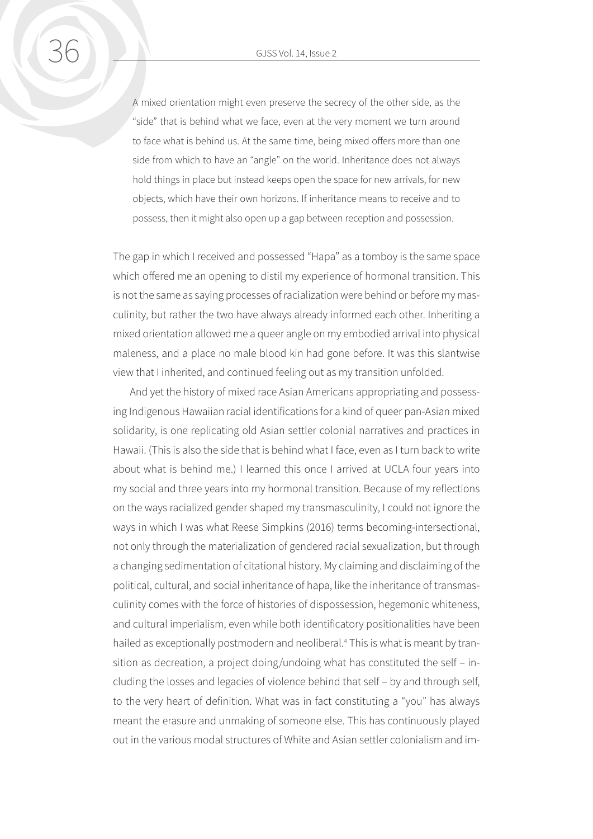<span id="page-12-0"></span>A mixed orientation might even preserve the secrecy of the other side, as the "side" that is behind what we face, even at the very moment we turn around to face what is behind us. At the same time, being mixed offers more than one side from which to have an "angle" on the world. Inheritance does not always hold things in place but instead keeps open the space for new arrivals, for new objects, which have their own horizons. If inheritance means to receive and to possess, then it might also open up a gap between reception and possession.

The gap in which I received and possessed "Hapa" as a tomboy is the same space which offered me an opening to distil my experience of hormonal transition. This is not the same as saying processes of racialization were behind or before my masculinity, but rather the two have always already informed each other. Inheriting a mixed orientation allowed me a queer angle on my embodied arrival into physical maleness, and a place no male blood kin had gone before. It was this slantwise view that I inherited, and continued feeling out as my transition unfolded.

And yet the history of mixed race Asian Americans appropriating and possessing Indigenous Hawaiian racial identifications for a kind of queer pan-Asian mixed solidarity, is one replicating old Asian settler colonial narratives and practices in Hawaii. (This is also the side that is behind what I face, even as I turn back to write about what is behind me.) I learned this once I arrived at UCLA four years into my social and three years into my hormonal transition. Because of my reflections on the ways racialized gender shaped my transmasculinity, I could not ignore the ways in which I was what Reese Simpkins (2016) terms becoming-intersectional, not only through the materialization of gendered racial sexualization, but through a changing sedimentation of citational history. My claiming and disclaiming of the political, cultural, and social inheritance of hapa, like the inheritance of transmasculinity comes with the force of histories of dispossession, hegemonic whiteness, and cultural imperialism, even while both identificatory positionalities have been hailed as exceptionally postmodern and neoliberal.<sup>4</sup> This is what is meant by transition as decreation, a project doing/undoing what has constituted the self – including the losses and legacies of violence behind that self – by and through self, to the very heart of definition. What was in fact constituting a "you" has always meant the erasure and unmaking of someone else. This has continuously played out in the various modal structures of White and Asian settler colonialism and im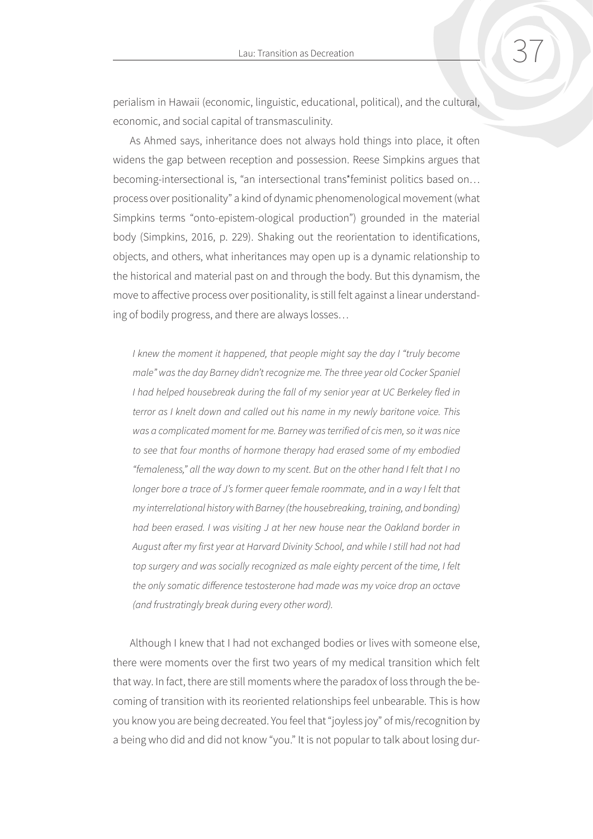perialism in Hawaii (economic, linguistic, educational, political), and the cultural, economic, and social capital of transmasculinity.

As Ahmed says, inheritance does not always hold things into place, it often widens the gap between reception and possession. Reese Simpkins argues that becoming-intersectional is, "an intersectional trans\*feminist politics based on… process over positionality" a kind of dynamic phenomenological movement (what Simpkins terms "onto-epistem-ological production") grounded in the material body (Simpkins, 2016, p. 229). Shaking out the reorientation to identifications, objects, and others, what inheritances may open up is a dynamic relationship to the historical and material past on and through the body. But this dynamism, the move to affective process over positionality, is still felt against a linear understanding of bodily progress, and there are always losses…

*I knew the moment it happened, that people might say the day I "truly become male" was the day Barney didn't recognize me. The three year old Cocker Spaniel*  I had helped housebreak during the fall of my senior year at UC Berkeley fled in *terror as I knelt down and called out his name in my newly baritone voice. This was a complicated moment for me. Barney was terrified of cis men, so it was nice to see that four months of hormone therapy had erased some of my embodied "femaleness," all the way down to my scent. But on the other hand I felt that I no longer bore a trace of J's former queer female roommate, and in a way I felt that my interrelational history with Barney (the housebreaking, training, and bonding) had been erased. I was visiting J at her new house near the Oakland border in August after my first year at Harvard Divinity School, and while I still had not had top surgery and was socially recognized as male eighty percent of the time, I felt the only somatic difference testosterone had made was my voice drop an octave (and frustratingly break during every other word).* 

Although I knew that I had not exchanged bodies or lives with someone else, there were moments over the first two years of my medical transition which felt that way. In fact, there are still moments where the paradox of loss through the becoming of transition with its reoriented relationships feel unbearable. This is how you know you are being decreated. You feel that "joyless joy" of mis/recognition by a being who did and did not know "you." It is not popular to talk about losing dur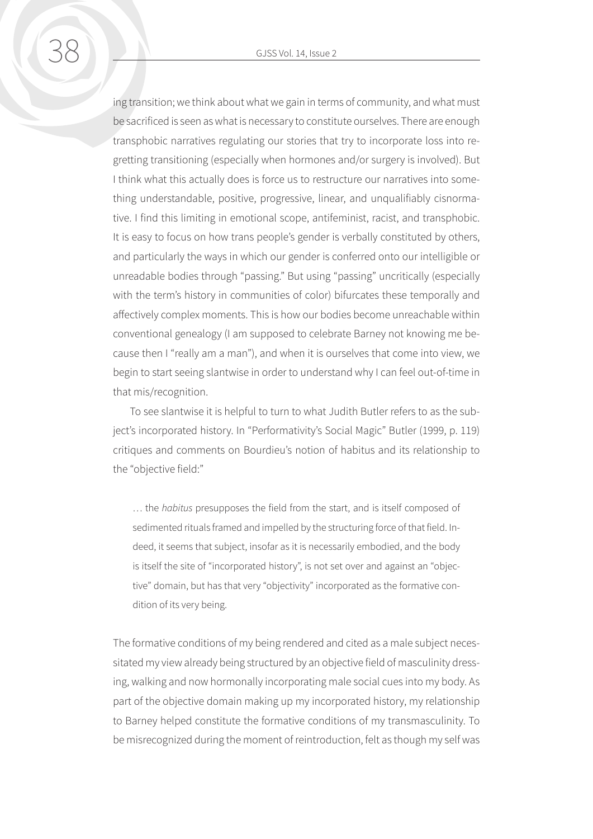ing transition; we think about what we gain in terms of community, and what must be sacrificed is seen as what is necessary to constitute ourselves. There are enough transphobic narratives regulating our stories that try to incorporate loss into regretting transitioning (especially when hormones and/or surgery is involved). But I think what this actually does is force us to restructure our narratives into something understandable, positive, progressive, linear, and unqualifiably cisnormative. I find this limiting in emotional scope, antifeminist, racist, and transphobic. It is easy to focus on how trans people's gender is verbally constituted by others, and particularly the ways in which our gender is conferred onto our intelligible or unreadable bodies through "passing." But using "passing" uncritically (especially with the term's history in communities of color) bifurcates these temporally and affectively complex moments. This is how our bodies become unreachable within conventional genealogy (I am supposed to celebrate Barney not knowing me because then I "really am a man"), and when it is ourselves that come into view, we begin to start seeing slantwise in order to understand why I can feel out-of-time in that mis/recognition.

To see slantwise it is helpful to turn to what Judith Butler refers to as the subject's incorporated history. In "Performativity's Social Magic" Butler (1999, p. 119) critiques and comments on Bourdieu's notion of habitus and its relationship to the "objective field:"

… the *habitus* presupposes the field from the start, and is itself composed of sedimented rituals framed and impelled by the structuring force of that field. Indeed, it seems that subject, insofar as it is necessarily embodied, and the body is itself the site of "incorporated history", is not set over and against an "objective" domain, but has that very "objectivity" incorporated as the formative condition of its very being.

The formative conditions of my being rendered and cited as a male subject necessitated my view already being structured by an objective field of masculinity dressing, walking and now hormonally incorporating male social cues into my body. As part of the objective domain making up my incorporated history, my relationship to Barney helped constitute the formative conditions of my transmasculinity. To be misrecognized during the moment of reintroduction, felt as though my self was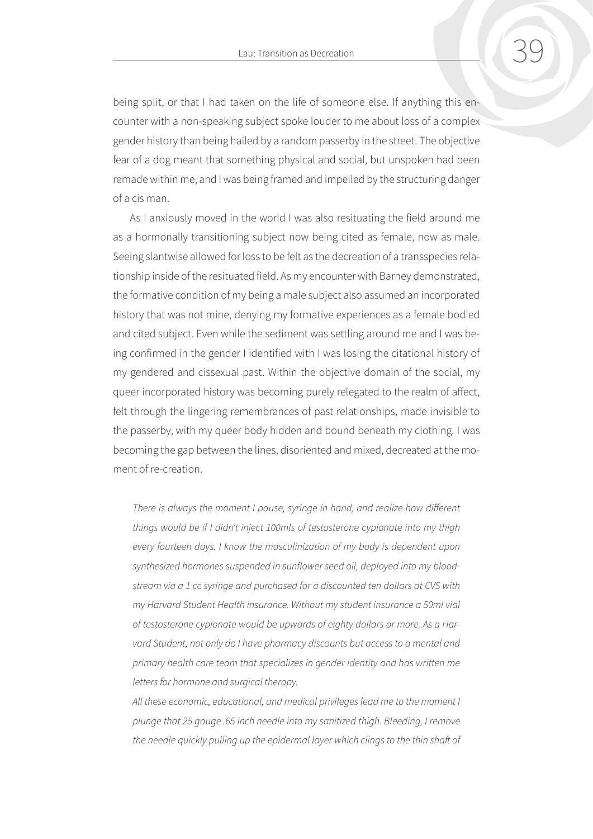being split, or that I had taken on the life of someone else. If anything this encounter with a non-speaking subject spoke louder to me about loss of a complex gender history than being hailed by a random passerby in the street. The objective fear of a dog meant that something physical and social, but unspoken had been remade within me, and I was being framed and impelled by the structuring danger of a cis man.

As I anxiously moved in the world I was also resituating the field around me as a hormonally transitioning subject now being cited as female, now as male. Seeing slantwise allowed for loss to be felt as the decreation of a transspecies relationship inside of the resituated field. As my encounter with Barney demonstrated, the formative condition of my being a male subject also assumed an incorporated history that was not mine, denying my formative experiences as a female bodied and cited subject. Even while the sediment was settling around me and I was being confirmed in the gender I identified with I was losing the citational history of my gendered and cissexual past. Within the objective domain of the social, my queer incorporated history was becoming purely relegated to the realm of affect, felt through the lingering remembrances of past relationships, made invisible to the passerby, with my queer body hidden and bound beneath my clothing. I was becoming the gap between the lines, disoriented and mixed, decreated at the moment of re-creation.

*There is always the moment I pause, syringe in hand, and realize how different things would be if I didn't inject 100mls of testosterone cypionate into my thigh every fourteen days. I know the masculinization of my body is dependent upon synthesized hormones suspended in sunflower seed oil, deployed into my bloodstream via a 1 cc syringe and purchased for a discounted ten dollars at CVS with my Harvard Student Health insurance. Without my student insurance a 50ml vial of testosterone cypionate would be upwards of eighty dollars or more. As a Harvard Student, not only do I have pharmacy discounts but access to a mental and primary health care team that specializes in gender identity and has written me letters for hormone and surgical therapy.*

*All these economic, educational, and medical privileges lead me to the moment I plunge that 25 gauge .65 inch needle into my sanitized thigh. Bleeding, I remove the needle quickly pulling up the epidermal layer which clings to the thin shaft of*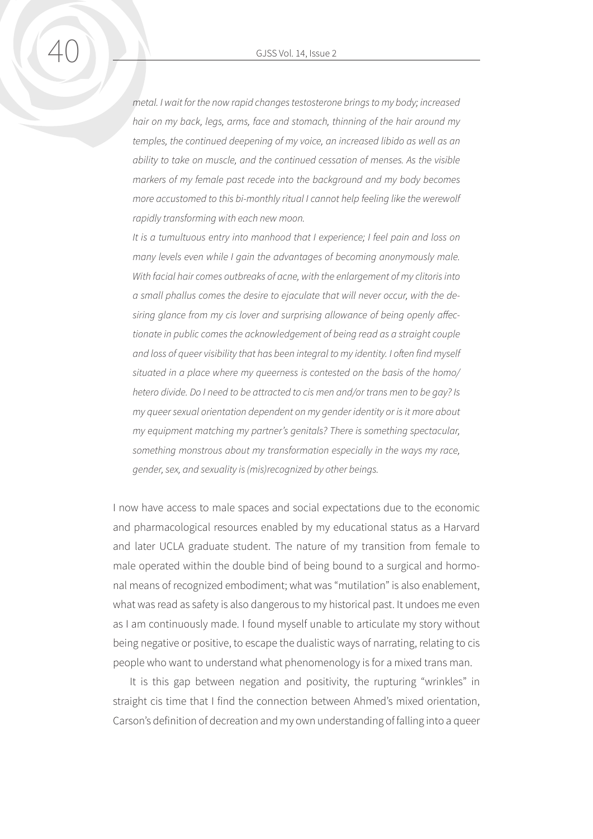*metal. I wait for the now rapid changes testosterone brings to my body; increased hair on my back, legs, arms, face and stomach, thinning of the hair around my temples, the continued deepening of my voice, an increased libido as well as an ability to take on muscle, and the continued cessation of menses. As the visible markers of my female past recede into the background and my body becomes more accustomed to this bi-monthly ritual I cannot help feeling like the werewolf rapidly transforming with each new moon.* 

*It is a tumultuous entry into manhood that I experience; I feel pain and loss on many levels even while I gain the advantages of becoming anonymously male. With facial hair comes outbreaks of acne, with the enlargement of my clitoris into a small phallus comes the desire to ejaculate that will never occur, with the desiring glance from my cis lover and surprising allowance of being openly affectionate in public comes the acknowledgement of being read as a straight couple and loss of queer visibility that has been integral to my identity. I often find myself situated in a place where my queerness is contested on the basis of the homo/ hetero divide. Do I need to be attracted to cis men and/or trans men to be gay? Is my queer sexual orientation dependent on my gender identity or is it more about my equipment matching my partner's genitals? There is something spectacular, something monstrous about my transformation especially in the ways my race, gender, sex, and sexuality is (mis)recognized by other beings.* 

I now have access to male spaces and social expectations due to the economic and pharmacological resources enabled by my educational status as a Harvard and later UCLA graduate student. The nature of my transition from female to male operated within the double bind of being bound to a surgical and hormonal means of recognized embodiment; what was "mutilation" is also enablement, what was read as safety is also dangerous to my historical past. It undoes me even as I am continuously made. I found myself unable to articulate my story without being negative or positive, to escape the dualistic ways of narrating, relating to cis people who want to understand what phenomenology is for a mixed trans man.

It is this gap between negation and positivity, the rupturing "wrinkles" in straight cis time that I find the connection between Ahmed's mixed orientation, Carson's definition of decreation and my own understanding of falling into a queer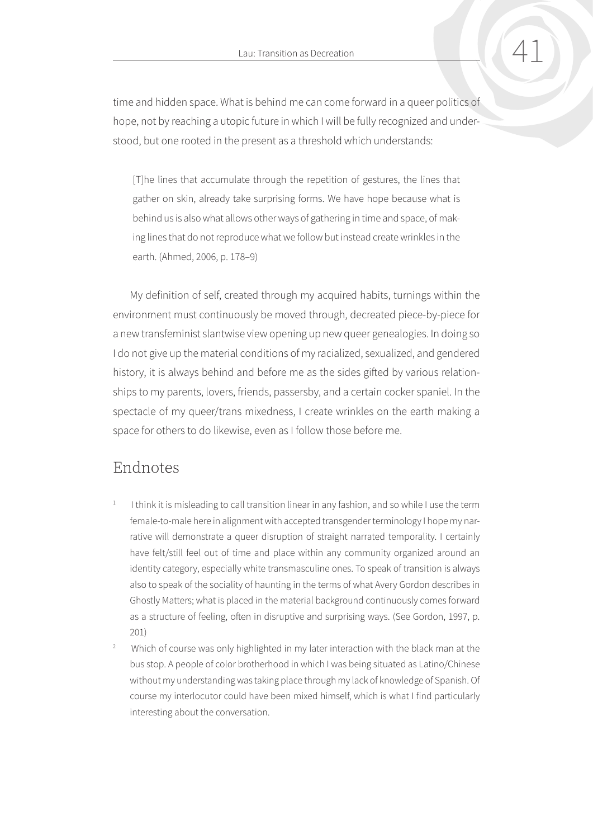Lau: Transition as Decreation 41 (41

<span id="page-17-0"></span>time and hidden space. What is behind me can come forward in a queer politics of hope, not by reaching a utopic future in which I will be fully recognized and understood, but one rooted in the present as a threshold which understands:

[T]he lines that accumulate through the repetition of gestures, the lines that gather on skin, already take surprising forms. We have hope because what is behind us is also what allows other ways of gathering in time and space, of making lines that do not reproduce what we follow but instead create wrinkles in the earth. (Ahmed, 2006, p. 178–9)

My definition of self, created through my acquired habits, turnings within the environment must continuously be moved through, decreated piece-by-piece for a new transfeminist slantwise view opening up new queer genealogies. In doing so I do not give up the material conditions of my racialized, sexualized, and gendered history, it is always behind and before me as the sides gifted by various relationships to my parents, lovers, friends, passersby, and a certain cocker spaniel. In the spectacle of my queer/trans mixedness, I create wrinkles on the earth making a space for others to do likewise, even as I follow those before me.

## Endnotes

- [1](#page-1-0) I think it is misleading to call transition linear in any fashion, and so while I use the term female-to-male here in alignment with accepted transgender terminology I hope my narrative will demonstrate a queer disruption of straight narrated temporality. I certainly have felt/still feel out of time and place within any community organized around an identity category, especially white transmasculine ones. To speak of transition is always also to speak of the sociality of haunting in the terms of what Avery Gordon describes in Ghostly Matters; what is placed in the material background continuously comes forward as a structure of feeling, often in disruptive and surprising ways. (See Gordon, 1997, p. 201)
- [2](#page-9-0) Which of course was only highlighted in my later interaction with the black man at the bus stop. A people of color brotherhood in which I was being situated as Latino/Chinese without my understanding was taking place through my lack of knowledge of Spanish. Of course my interlocutor could have been mixed himself, which is what I find particularly interesting about the conversation.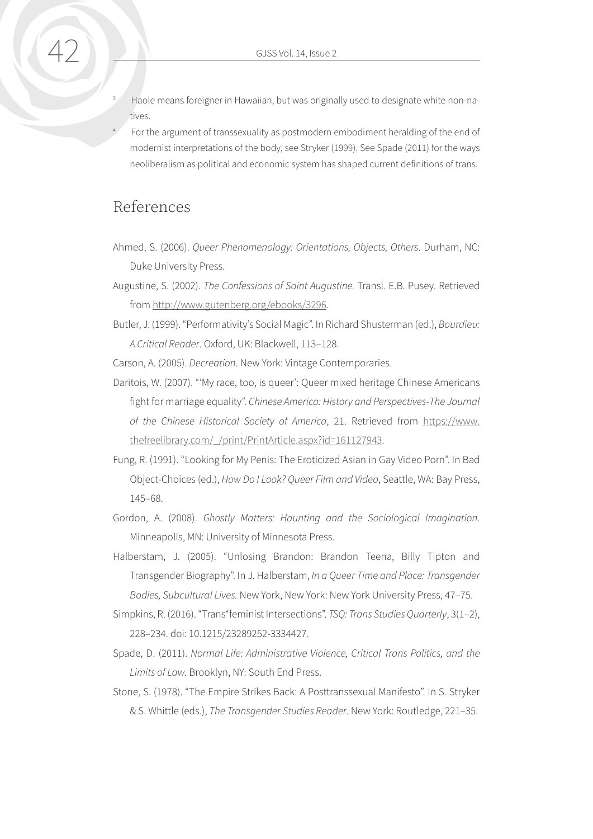- <span id="page-18-0"></span>Haole means foreigner in Hawaiian, but was originally used to designate white non-natives.
- For the argument of transsexuality as postmodern embodiment heralding of the end of modernist interpretations of the body, see Stryker (1999). See Spade (2011) for the ways neoliberalism as political and economic system has shaped current definitions of trans.

## References

- Ahmed, S. (2006). *Queer Phenomenology: Orientations, Objects, Others*. Durham, NC: Duke University Press.
- Augustine, S. (2002). *The Confessions of Saint Augustine.* Transl. E.B. Pusey. Retrieved from [http://www.gutenberg.org/ebooks/3296.](http://www.gutenberg.org/ebooks/3296)
- Butler, J. (1999). "Performativity's Social Magic". In Richard Shusterman (ed.), *Bourdieu: A Critical Reader*. Oxford, UK: Blackwell, 113–128.

Carson, A. (2005). *Decreation*. New York: Vintage Contemporaries.

- Daritois, W. (2007). "'My race, too, is queer': Queer mixed heritage Chinese Americans fight for marriage equality". *Chinese America: History and Perspectives-The Journal of the Chinese Historical Society of America*, 21. Retrieved from [https://www.](https://www.thefreelibrary.com/_/print/PrintArticle.aspx?id=161127943) [thefreelibrary.com/\\_/print/PrintArticle.aspx?id=161127943.](https://www.thefreelibrary.com/_/print/PrintArticle.aspx?id=161127943)
- Fung, R. (1991). "Looking for My Penis: The Eroticized Asian in Gay Video Porn". In Bad Object-Choices (ed.), *How Do I Look? Queer Film and Video*, Seattle, WA: Bay Press, 145–68.
- Gordon, A. (2008). *Ghostly Matters: Haunting and the Sociological Imagination*. Minneapolis, MN: University of Minnesota Press.
- Halberstam, J. (2005). "Unlosing Brandon: Brandon Teena, Billy Tipton and Transgender Biography". In J. Halberstam, *In a Queer Time and Place: Transgender Bodies, Subcultural Lives.* New York, New York: New York University Press, 47–75.
- Simpkins, R. (2016). "Trans\*feminist Intersections". *TSQ: Trans Studies Quarterly*, 3(1–2), 228–234. doi: 10.1215/23289252-3334427.
- Spade, D. (2011). *Normal Life: Administrative Violence, Critical Trans Politics, and the Limits of Law.* Brooklyn, NY: South End Press.
- Stone, S. (1978). "The Empire Strikes Back: A Posttranssexual Manifesto". In S. Stryker & S. Whittle (eds.), *The Transgender Studies Reader*. New York: Routledge, 221–35.